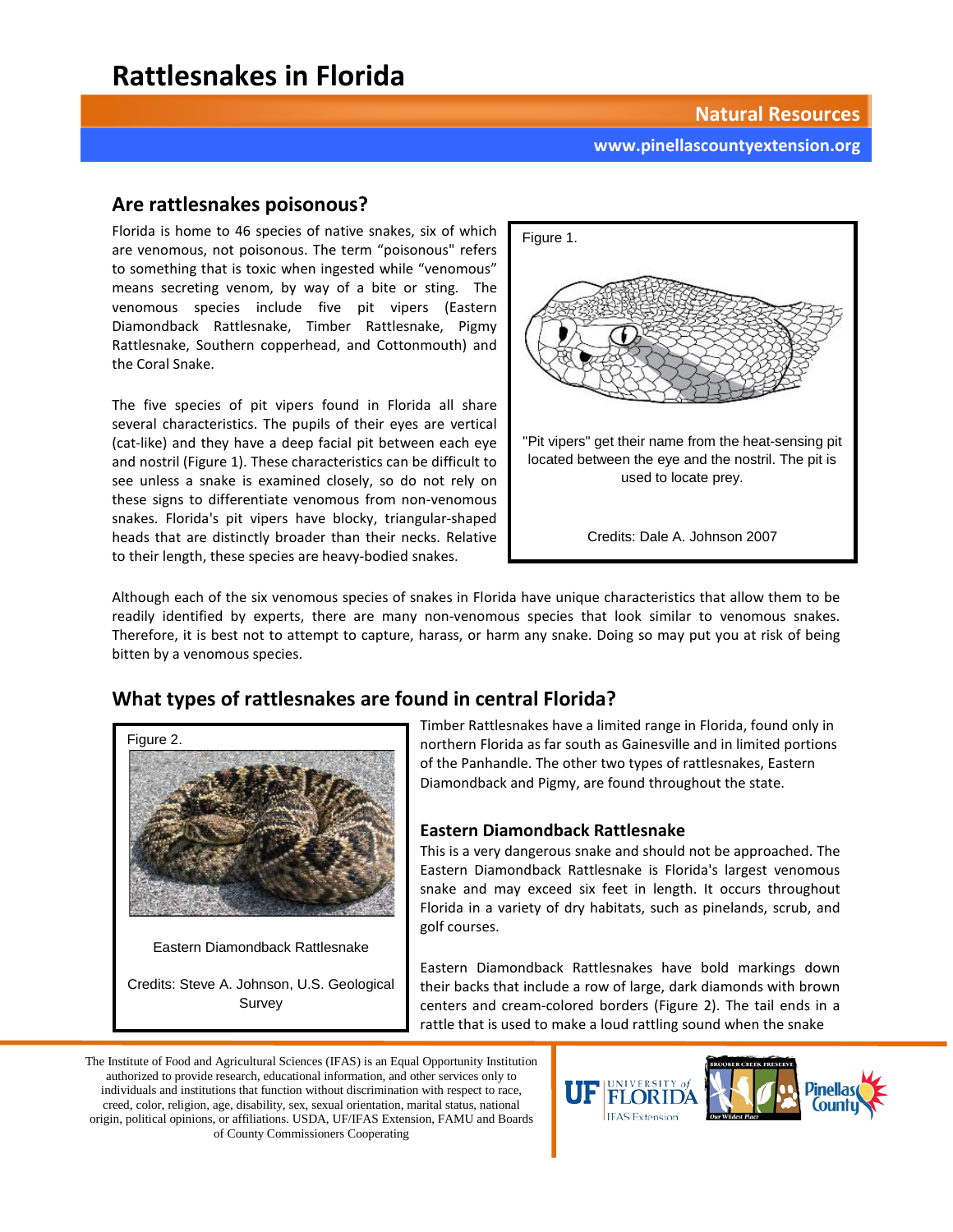## **Rattlesnakes in Florida**

**Natural Resources**

#### **www.pinellascountyextension.org**

### **Are rattlesnakes poisonous?**

Florida is home to 46 species of native snakes, six of which are venomous, not poisonous. The term "poisonous" refers to something that is toxic when ingested while "venomous" means secreting venom, by way of a bite or sting. The venomous species include five pit vipers (Eastern Diamondback Rattlesnake, Timber Rattlesnake, Pigmy Rattlesnake, Southern copperhead, and Cottonmouth) and the Coral Snake.

The five species of pit vipers found in Florida all share several characteristics. The pupils of their eyes are vertical (cat-like) and they have a deep facial pit between each eye and nostril (Figure 1). These characteristics can be difficult to see unless a snake is examined closely, so do not rely on these signs to differentiate venomous from non-venomous snakes. Florida's pit vipers have blocky, triangular-shaped heads that are distinctly broader than their necks. Relative to their length, these species are heavy-bodied snakes.



Although each of the six venomous species of snakes in Florida have unique characteristics that allow them to be readily identified by experts, there are many non-venomous species that look similar to venomous snakes. Therefore, it is best not to attempt to capture, harass, or harm any snake. Doing so may put you at risk of being bitten by a venomous species.

## **What types of rattlesnakes are found in central Florida?**



Survey

Timber Rattlesnakes have a limited range in Florida, found only in northern Florida as far south as Gainesville and in limited portions of the Panhandle. The other two types of rattlesnakes, Eastern Diamondback and Pigmy, are found throughout the state.

#### **Eastern Diamondback Rattlesnake**

This is a very dangerous snake and should not be approached. The Eastern Diamondback Rattlesnake is Florida's largest venomous snake and may exceed six feet in length. It occurs throughout Florida in a variety of dry habitats, such as pinelands, scrub, and golf courses.

Eastern Diamondback Rattlesnakes have bold markings down their backs that include a row of large, dark diamonds with brown centers and cream-colored borders (Figure 2). The tail ends in a rattle that is used to make a loud rattling sound when the snake

The Institute of Food and Agricultural Sciences (IFAS) is an Equal Opportunity Institution authorized to provide research, educational information, and other services only to individuals and institutions that function without discrimination with respect to race, creed, color, religion, age, disability, sex, sexual orientation, marital status, national origin, political opinions, or affiliations. USDA, UF/IFAS Extension, FAMU and Boards of County Commissioners Cooperating